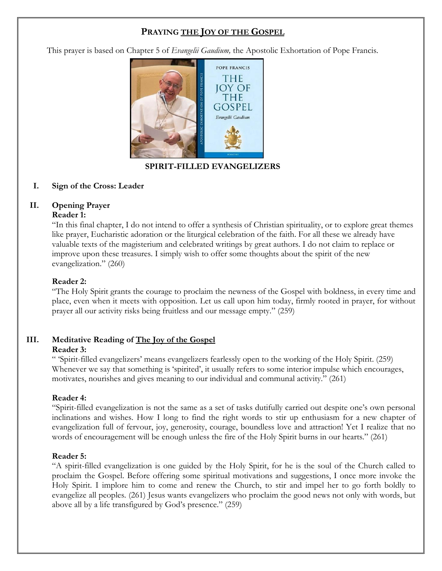## **PRAYING THE JOY OF THE GOSPEL**

This prayer is based on Chapter 5 of *Evangelii Gaudium,* the Apostolic Exhortation of Pope Francis.



## **SPIRIT-FILLED EVANGELIZERS**

#### **I. Sign of the Cross: Leader**

### **II. Opening Prayer**

#### **Reader 1:**

"In this final chapter, I do not intend to offer a synthesis of Christian spirituality, or to explore great themes like prayer, Eucharistic adoration or the liturgical celebration of the faith. For all these we already have valuable texts of the magisterium and celebrated writings by great authors. I do not claim to replace or improve upon these treasures. I simply wish to offer some thoughts about the spirit of the new evangelization." (260)

#### **Reader 2:**

"The Holy Spirit grants the courage to proclaim the newness of the Gospel with boldness, in every time and place, even when it meets with opposition. Let us call upon him today, firmly rooted in prayer, for without prayer all our activity risks being fruitless and our message empty." (259)

# **III. Meditative Reading of The Joy of the Gospel**

#### **Reader 3:**

" 'Spirit-filled evangelizers' means evangelizers fearlessly open to the working of the Holy Spirit. (259) Whenever we say that something is 'spirited', it usually refers to some interior impulse which encourages, motivates, nourishes and gives meaning to our individual and communal activity." (261)

#### **Reader 4:**

"Spirit-filled evangelization is not the same as a set of tasks dutifully carried out despite one's own personal inclinations and wishes. How I long to find the right words to stir up enthusiasm for a new chapter of evangelization full of fervour, joy, generosity, courage, boundless love and attraction! Yet I realize that no words of encouragement will be enough unless the fire of the Holy Spirit burns in our hearts." (261)

#### **Reader 5:**

"A spirit-filled evangelization is one guided by the Holy Spirit, for he is the soul of the Church called to proclaim the Gospel. Before offering some spiritual motivations and suggestions, I once more invoke the Holy Spirit. I implore him to come and renew the Church, to stir and impel her to go forth boldly to evangelize all peoples. (261) Jesus wants evangelizers who proclaim the good news not only with words, but above all by a life transfigured by God's presence." (259)